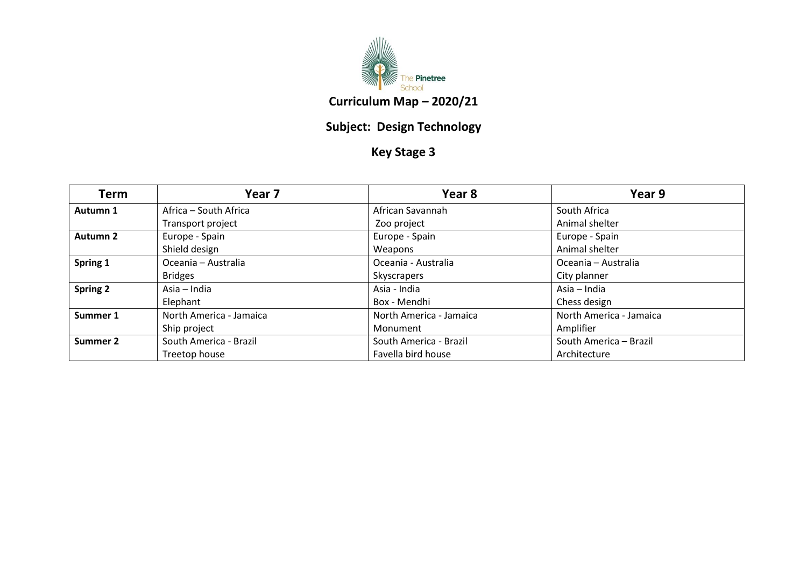

## **Subject: Design Technology**

## **Key Stage 3**

| Term            | Year 7                  | Year 8                  | Year 9                  |
|-----------------|-------------------------|-------------------------|-------------------------|
| Autumn 1        | Africa – South Africa   | African Savannah        | South Africa            |
|                 | Transport project       | Zoo project             | Animal shelter          |
| Autumn 2        | Europe - Spain          | Europe - Spain          | Europe - Spain          |
|                 | Shield design           | Weapons                 | Animal shelter          |
| Spring 1        | Oceania - Australia     | Oceania - Australia     | Oceania - Australia     |
|                 | <b>Bridges</b>          | Skyscrapers             | City planner            |
| <b>Spring 2</b> | Asia – India            | Asia - India            | Asia - India            |
|                 | Elephant                | Box - Mendhi            | Chess design            |
| Summer 1        | North America - Jamaica | North America - Jamaica | North America - Jamaica |
|                 | Ship project            | Monument                | Amplifier               |
| Summer 2        | South America - Brazil  | South America - Brazil  | South America - Brazil  |
|                 | Treetop house           | Favella bird house      | Architecture            |